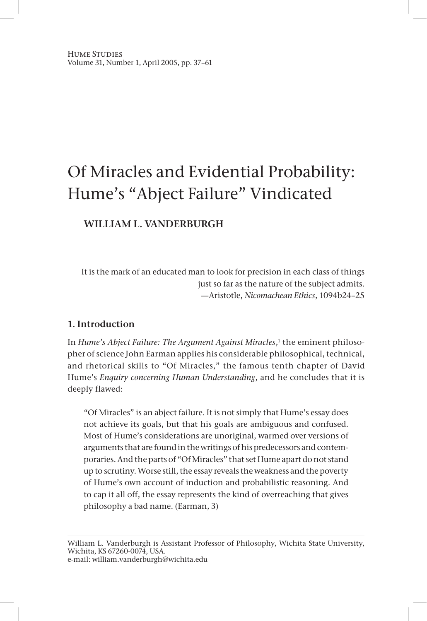# Of Miracles and Evidential Probability: Hume's "Abject Failure" Vindicated

# WILLIAM L. VANDERBURGH

It is the mark of an educated man to look for precision in each class of things just so far as the nature of the subject admits. —Aristotle, *Nicomachean Ethics*, 1094b24–25

## 1. Introduction

In *Hume's Abject Failure: The Argument Against Miracles*, 1 the eminent philosopher of science John Earman applies his considerable philosophical, technical, and rhetorical skills to "Of Miracles," the famous tenth chapter of David Hume's *Enquiry concerning Human Understanding*, and he concludes that it is deeply flawed:

"Of Miracles" is an abject failure. It is not simply that Hume's essay does not achieve its goals, but that his goals are ambiguous and confused. Most of Hume's considerations are unoriginal, warmed over versions of arguments that are found in the writings of his predecessors and contemporaries. And the parts of "Of Miracles" that set Hume apart do not stand up to scrutiny. Worse still, the essay reveals the weakness and the poverty of Hume's own account of induction and probabilistic reasoning. And to cap it all off, the essay represents the kind of overreaching that gives philosophy a bad name. (Earman, 3)

William L. Vanderburgh is Assistant Professor of Philosophy, Wichita State University, Wichita, KS 67260-0074, USA. e-mail: william.vanderburgh@wichita.edu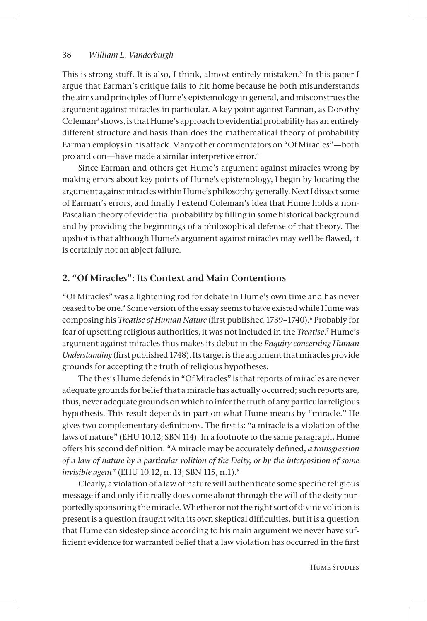This is strong stuff. It is also, I think, almost entirely mistaken.<sup>2</sup> In this paper I argue that Earman's critique fails to hit home because he both misunderstands the aims and principles of Hume's epistemology in general, and misconstrues the argument against miracles in particular. A key point against Earman, as Dorothy Coleman<sup>3</sup> shows, is that Hume's approach to evidential probability has an entirely different structure and basis than does the mathematical theory of probability Earman employs in his attack. Many other commentators on "Of Miracles"—both pro and con—have made a similar interpretive error.4

Since Earman and others get Hume's argument against miracles wrong by making errors about key points of Hume's epistemology, I begin by locating the argument against miracles within Hume's philosophy generally. Next I dissect some of Earman's errors, and finally I extend Coleman's idea that Hume holds a non-Pascalian theory of evidential probability by filling in some historical background and by providing the beginnings of a philosophical defense of that theory. The upshot is that although Hume's argument against miracles may well be flawed, it is certainly not an abject failure.

## 2. "Of Miracles": Its Context and Main Contentions

"Of Miracles" was a lightening rod for debate in Hume's own time and has never ceased to be one.<sup>5</sup> Some version of the essay seems to have existed while Hume was composing his *Treatise of Human Nature* (first published 1739–1740).<sup>6</sup> Probably for fear of upsetting religious authorities, it was not included in the *Treatise*. 7 Hume's argument against miracles thus makes its debut in the *Enquiry concerning Human Understanding* (first published 1748). Its target is the argument that miracles provide grounds for accepting the truth of religious hypotheses.

The thesis Hume defends in "Of Miracles" is that reports of miracles are never adequate grounds for belief that a miracle has actually occurred; such reports are, thus, never adequate grounds on which to infer the truth of any particular religious hypothesis. This result depends in part on what Hume means by "miracle." He gives two complementary definitions. The first is: "a miracle is a violation of the laws of nature" (EHU 10.12; SBN 114). In a footnote to the same paragraph, Hume offers his second definition: "A miracle may be accurately defined, *a transgression of a law of nature by a particular volition of the Deity, or by the interposition of some invisible agent*" (EHU 10.12, n. 13; SBN 115, n.1).8

Clearly, a violation of a law of nature will authenticate some specific religious message if and only if it really does come about through the will of the deity purportedly sponsoring the miracle. Whether or not the right sort of divine volition is present is a question fraught with its own skeptical difficulties, but it is a question that Hume can sidestep since according to his main argument we never have sufficient evidence for warranted belief that a law violation has occurred in the first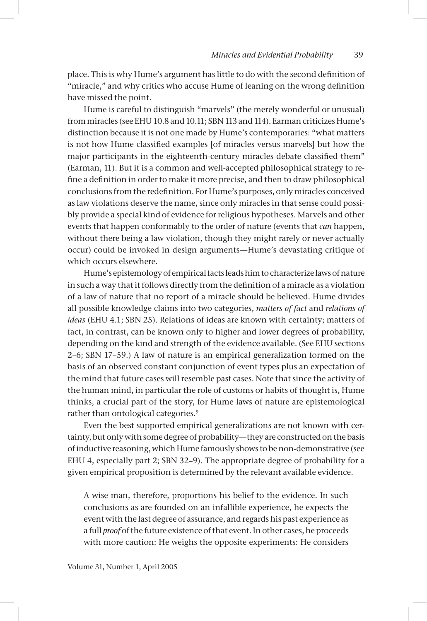place. This is why Hume's argument has little to do with the second definition of "miracle," and why critics who accuse Hume of leaning on the wrong definition have missed the point.

Hume is careful to distinguish "marvels" (the merely wonderful or unusual) from miracles (see EHU 10.8 and 10.11; SBN 113 and 114). Earman criticizes Hume's distinction because it is not one made by Hume's contemporaries: "what matters is not how Hume classified examples [of miracles versus marvels] but how the major participants in the eighteenth-century miracles debate classified them" (Earman, 11). But it is a common and well-accepted philosophical strategy to refine a definition in order to make it more precise, and then to draw philosophical conclusions from the redefinition. For Hume's purposes, only miracles conceived as law violations deserve the name, since only miracles in that sense could possibly provide a special kind of evidence for religious hypotheses. Marvels and other events that happen conformably to the order of nature (events that *can* happen, without there being a law violation, though they might rarely or never actually occur) could be invoked in design arguments—Hume's devastating critique of which occurs elsewhere.

Hume's epistemology of empirical facts leads him to characterize laws of nature in such a way that it follows directly from the definition of a miracle as a violation of a law of nature that no report of a miracle should be believed. Hume divides all possible knowledge claims into two categories, *matters of fact* and *relations of ideas* (EHU 4.1; SBN 25). Relations of ideas are known with certainty; matters of fact, in contrast, can be known only to higher and lower degrees of probability, depending on the kind and strength of the evidence available. (See EHU sections 2–6; SBN 17–59.) A law of nature is an empirical generalization formed on the basis of an observed constant conjunction of event types plus an expectation of the mind that future cases will resemble past cases. Note that since the activity of the human mind, in particular the role of customs or habits of thought is, Hume thinks, a crucial part of the story, for Hume laws of nature are epistemological rather than ontological categories.<sup>9</sup>

Even the best supported empirical generalizations are not known with certainty, but only with some degree of probability—they are constructed on the basis of inductive reasoning, which Hume famously shows to be non-demonstrative (see EHU 4, especially part 2; SBN 32–9). The appropriate degree of probability for a given empirical proposition is determined by the relevant available evidence.

A wise man, therefore, proportions his belief to the evidence. In such conclusions as are founded on an infallible experience, he expects the event with the last degree of assurance, and regards his past experience as a full *proof* of the future existence of that event. In other cases, he proceeds with more caution: He weighs the opposite experiments: He considers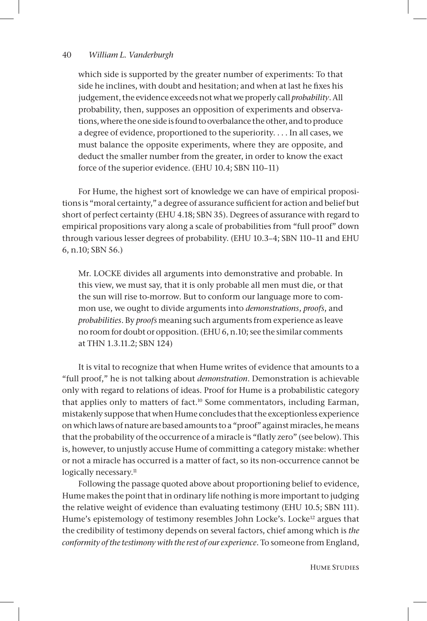which side is supported by the greater number of experiments: To that side he inclines, with doubt and hesitation; and when at last he fixes his judgement, the evidence exceeds not what we properly call *probability*. All probability, then, supposes an opposition of experiments and observations, where the one side is found to overbalance the other, and to produce a degree of evidence, proportioned to the superiority. . . . In all cases, we must balance the opposite experiments, where they are opposite, and deduct the smaller number from the greater, in order to know the exact force of the superior evidence. (EHU 10.4; SBN 110–11)

For Hume, the highest sort of knowledge we can have of empirical propositions is "moral certainty," a degree of assurance sufficient for action and belief but short of perfect certainty (EHU 4.18; SBN 35). Degrees of assurance with regard to empirical propositions vary along a scale of probabilities from "full proof" down through various lesser degrees of probability. (EHU 10.3–4; SBN 110–11 and EHU 6, n.10; SBN 56.)

Mr. LOCKE divides all arguments into demonstrative and probable. In this view, we must say, that it is only probable all men must die, or that the sun will rise to-morrow. But to conform our language more to common use, we ought to divide arguments into *demonstrations*, *proofs*, and *probabilities*. By *proofs* meaning such arguments from experience as leave no room for doubt or opposition. (EHU 6, n.10; see the similar comments at THN 1.3.11.2; SBN 124)

It is vital to recognize that when Hume writes of evidence that amounts to a "full proof," he is not talking about *demonstration*. Demonstration is achievable only with regard to relations of ideas. Proof for Hume is a probabilistic category that applies only to matters of fact.10 Some commentators, including Earman, mistakenly suppose that when Hume concludes that the exceptionless experience on which laws of nature are based amounts to a "proof" against miracles, he means that the probability of the occurrence of a miracle is "flatly zero" (see below). This is, however, to unjustly accuse Hume of committing a category mistake: whether or not a miracle has occurred is a matter of fact, so its non-occurrence cannot be logically necessary.<sup>11</sup>

Following the passage quoted above about proportioning belief to evidence, Hume makes the point that in ordinary life nothing is more important to judging the relative weight of evidence than evaluating testimony (EHU 10.5; SBN 111). Hume's epistemology of testimony resembles John Locke's. Locke<sup>12</sup> argues that the credibility of testimony depends on several factors, chief among which is *the conformity of the testimony with the rest of our experience*. To someone from England,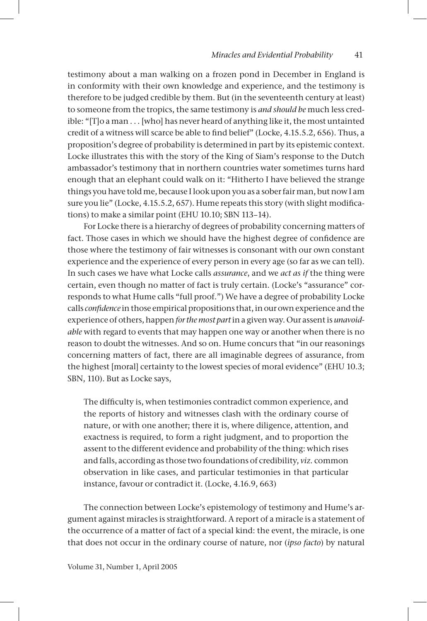#### *Miracles and Evidential Probability* 41

testimony about a man walking on a frozen pond in December in England is in conformity with their own knowledge and experience, and the testimony is therefore to be judged credible by them. But (in the seventeenth century at least) to someone from the tropics, the same testimony is *and should be* much less credible: "[T]o a man . . . [who] has never heard of anything like it, the most untainted credit of a witness will scarce be able to find belief" (Locke, 4.15.5.2, 656). Thus, a proposition's degree of probability is determined in part by its epistemic context. Locke illustrates this with the story of the King of Siam's response to the Dutch ambassador's testimony that in northern countries water sometimes turns hard enough that an elephant could walk on it: "Hitherto I have believed the strange things you have told me, because I look upon you as a sober fair man, but now I am sure you lie" (Locke, 4.15.5.2, 657). Hume repeats this story (with slight modifications) to make a similar point (EHU 10.10; SBN 113–14).

For Locke there is a hierarchy of degrees of probability concerning matters of fact. Those cases in which we should have the highest degree of confidence are those where the testimony of fair witnesses is consonant with our own constant experience and the experience of every person in every age (so far as we can tell). In such cases we have what Locke calls *assurance*, and we *act as if* the thing were certain, even though no matter of fact is truly certain. (Locke's "assurance" corresponds to what Hume calls "full proof.") We have a degree of probability Locke calls *confidence* in those empirical propositions that, in our own experience and the experience of others, happen *for the most part* in a given way. Our assent is *unavoidable* with regard to events that may happen one way or another when there is no reason to doubt the witnesses. And so on. Hume concurs that "in our reasonings concerning matters of fact, there are all imaginable degrees of assurance, from the highest [moral] certainty to the lowest species of moral evidence" (EHU 10.3; SBN, 110). But as Locke says,

The difficulty is, when testimonies contradict common experience, and the reports of history and witnesses clash with the ordinary course of nature, or with one another; there it is, where diligence, attention, and exactness is required, to form a right judgment, and to proportion the assent to the different evidence and probability of the thing: which rises and falls, according as those two foundations of credibility, *viz.* common observation in like cases, and particular testimonies in that particular instance, favour or contradict it. (Locke, 4.16.9, 663)

The connection between Locke's epistemology of testimony and Hume's argument against miracles is straightforward. A report of a miracle is a statement of the occurrence of a matter of fact of a special kind: the event, the miracle, is one that does not occur in the ordinary course of nature, nor (*ipso facto*) by natural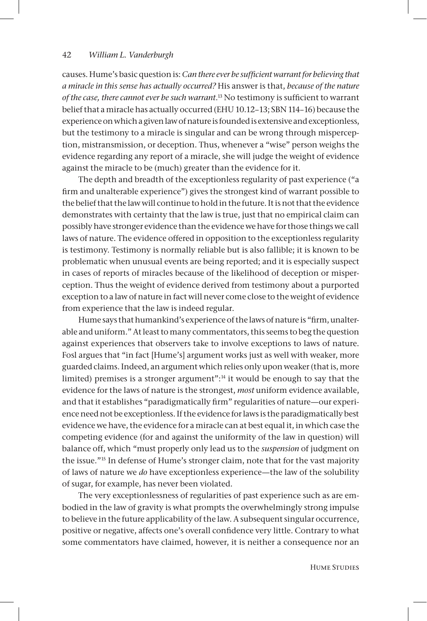causes. Hume's basic question is: *Can there ever be sufficient warrant for believing that a miracle in this sense has actually occurred?* His answer is that, *because of the nature of the case, there cannot ever be such warrant*. 13 No testimony is sufficient to warrant belief that a miracle has actually occurred (EHU 10.12–13; SBN 114–16) because the experience on which a given law of nature is founded is extensive and exceptionless, but the testimony to a miracle is singular and can be wrong through misperception, mistransmission, or deception. Thus, whenever a "wise" person weighs the evidence regarding any report of a miracle, she will judge the weight of evidence against the miracle to be (much) greater than the evidence for it.

The depth and breadth of the exceptionless regularity of past experience ("a firm and unalterable experience") gives the strongest kind of warrant possible to the belief that the law will continue to hold in the future. It is not that the evidence demonstrates with certainty that the law is true, just that no empirical claim can possibly have stronger evidence than the evidence we have for those things we call laws of nature. The evidence offered in opposition to the exceptionless regularity is testimony. Testimony is normally reliable but is also fallible; it is known to be problematic when unusual events are being reported; and it is especially suspect in cases of reports of miracles because of the likelihood of deception or misperception. Thus the weight of evidence derived from testimony about a purported exception to a law of nature in fact will never come close to the weight of evidence from experience that the law is indeed regular.

Hume says that humankind's experience of the laws of nature is "firm, unalterable and uniform." At least to many commentators, this seems to beg the question against experiences that observers take to involve exceptions to laws of nature. Fosl argues that "in fact [Hume's] argument works just as well with weaker, more guarded claims. Indeed, an argument which relies only upon weaker (that is, more limited) premises is a stronger argument":<sup>14</sup> it would be enough to say that the evidence for the laws of nature is the strongest, *most* uniform evidence available, and that it establishes "paradigmatically firm" regularities of nature—our experience need not be exceptionless. If the evidence for laws is the paradigmatically best evidence we have, the evidence for a miracle can at best equal it, in which case the competing evidence (for and against the uniformity of the law in question) will balance off, which "must properly only lead us to the *suspension* of judgment on the issue."15 In defense of Hume's stronger claim, note that for the vast majority of laws of nature we *do* have exceptionless experience—the law of the solubility of sugar, for example, has never been violated.

The very exceptionlessness of regularities of past experience such as are embodied in the law of gravity is what prompts the overwhelmingly strong impulse to believe in the future applicability of the law. A subsequent singular occurrence, positive or negative, affects one's overall confidence very little. Contrary to what some commentators have claimed, however, it is neither a consequence nor an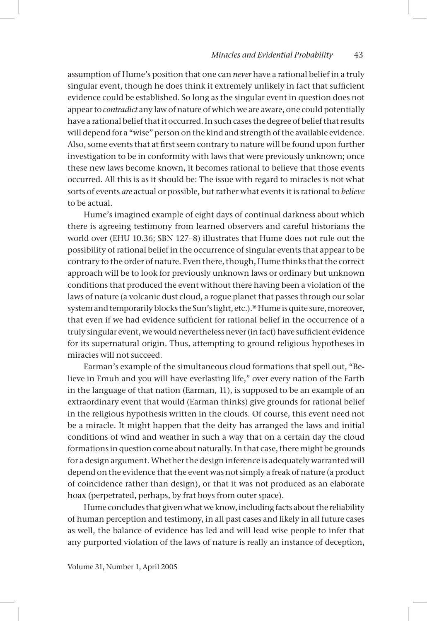#### *Miracles and Evidential Probability* 43

assumption of Hume's position that one can *never* have a rational belief in a truly singular event, though he does think it extremely unlikely in fact that sufficient evidence could be established. So long as the singular event in question does not appear to *contradict* any law of nature of which we are aware, one could potentially have a rational belief that it occurred. In such cases the degree of belief that results will depend for a "wise" person on the kind and strength of the available evidence. Also, some events that at first seem contrary to nature will be found upon further investigation to be in conformity with laws that were previously unknown; once these new laws become known, it becomes rational to believe that those events occurred. All this is as it should be: The issue with regard to miracles is not what sorts of events *are* actual or possible, but rather what events it is rational to *believe* to be actual.

Hume's imagined example of eight days of continual darkness about which there is agreeing testimony from learned observers and careful historians the world over (EHU 10.36; SBN 127–8) illustrates that Hume does not rule out the possibility of rational belief in the occurrence of singular events that appear to be contrary to the order of nature. Even there, though, Hume thinks that the correct approach will be to look for previously unknown laws or ordinary but unknown conditions that produced the event without there having been a violation of the laws of nature (a volcanic dust cloud, a rogue planet that passes through our solar system and temporarily blocks the Sun's light, etc.).<sup>16</sup> Hume is quite sure, moreover, that even if we had evidence sufficient for rational belief in the occurrence of a truly singular event, we would nevertheless never (in fact) have sufficient evidence for its supernatural origin. Thus, attempting to ground religious hypotheses in miracles will not succeed.

Earman's example of the simultaneous cloud formations that spell out, "Believe in Emuh and you will have everlasting life," over every nation of the Earth in the language of that nation (Earman, 11), is supposed to be an example of an extraordinary event that would (Earman thinks) give grounds for rational belief in the religious hypothesis written in the clouds. Of course, this event need not be a miracle. It might happen that the deity has arranged the laws and initial conditions of wind and weather in such a way that on a certain day the cloud formations in question come about naturally. In that case, there might be grounds for a design argument. Whether the design inference is adequately warranted will depend on the evidence that the event was not simply a freak of nature (a product of coincidence rather than design), or that it was not produced as an elaborate hoax (perpetrated, perhaps, by frat boys from outer space).

Hume concludes that given what we know, including facts about the reliability of human perception and testimony, in all past cases and likely in all future cases as well, the balance of evidence has led and will lead wise people to infer that any purported violation of the laws of nature is really an instance of deception,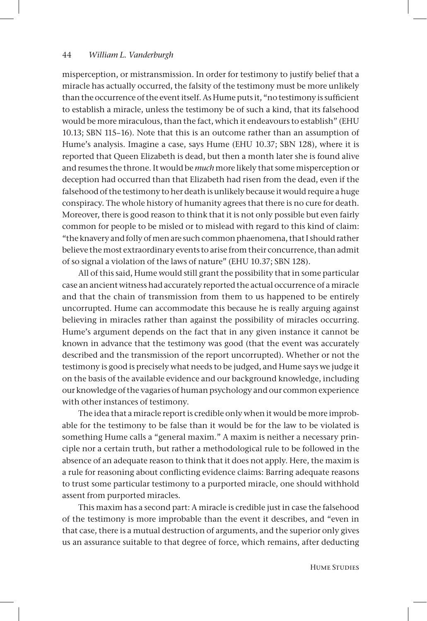misperception, or mistransmission. In order for testimony to justify belief that a miracle has actually occurred, the falsity of the testimony must be more unlikely than the occurrence of the event itself. As Hume puts it, "no testimony is sufficient to establish a miracle, unless the testimony be of such a kind, that its falsehood would be more miraculous, than the fact, which it endeavours to establish" (EHU 10.13; SBN 115–16). Note that this is an outcome rather than an assumption of Hume's analysis. Imagine a case, says Hume (EHU 10.37; SBN 128), where it is reported that Queen Elizabeth is dead, but then a month later she is found alive and resumes the throne. It would be *much* more likely that some misperception or deception had occurred than that Elizabeth had risen from the dead, even if the falsehood of the testimony to her death is unlikely because it would require a huge conspiracy. The whole history of humanity agrees that there is no cure for death. Moreover, there is good reason to think that it is not only possible but even fairly common for people to be misled or to mislead with regard to this kind of claim: "the knavery and folly of men are such common phaenomena, that I should rather believe the most extraordinary events to arise from their concurrence, than admit of so signal a violation of the laws of nature" (EHU 10.37; SBN 128).

All of this said, Hume would still grant the possibility that in some particular case an ancient witness had accurately reported the actual occurrence of a miracle and that the chain of transmission from them to us happened to be entirely uncorrupted. Hume can accommodate this because he is really arguing against believing in miracles rather than against the possibility of miracles occurring. Hume's argument depends on the fact that in any given instance it cannot be known in advance that the testimony was good (that the event was accurately described and the transmission of the report uncorrupted). Whether or not the testimony is good is precisely what needs to be judged, and Hume says we judge it on the basis of the available evidence and our background knowledge, including our knowledge of the vagaries of human psychology and our common experience with other instances of testimony.

The idea that a miracle report is credible only when it would be more improbable for the testimony to be false than it would be for the law to be violated is something Hume calls a "general maxim." A maxim is neither a necessary principle nor a certain truth, but rather a methodological rule to be followed in the absence of an adequate reason to think that it does not apply. Here, the maxim is a rule for reasoning about conflicting evidence claims: Barring adequate reasons to trust some particular testimony to a purported miracle, one should withhold assent from purported miracles.

This maxim has a second part: A miracle is credible just in case the falsehood of the testimony is more improbable than the event it describes, and "even in that case, there is a mutual destruction of arguments, and the superior only gives us an assurance suitable to that degree of force, which remains, after deducting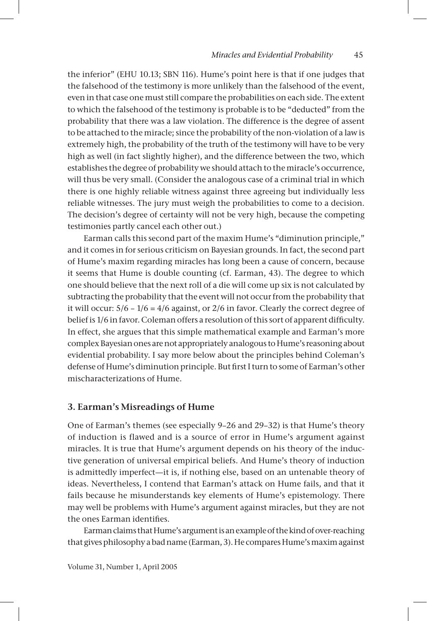the inferior" (EHU 10.13; SBN 116). Hume's point here is that if one judges that the falsehood of the testimony is more unlikely than the falsehood of the event, even in that case one must still compare the probabilities on each side. The extent to which the falsehood of the testimony is probable is to be "deducted" from the probability that there was a law violation. The difference is the degree of assent to be attached to the miracle; since the probability of the non-violation of a law is extremely high, the probability of the truth of the testimony will have to be very high as well (in fact slightly higher), and the difference between the two, which establishes the degree of probability we should attach to the miracle's occurrence, will thus be very small. (Consider the analogous case of a criminal trial in which there is one highly reliable witness against three agreeing but individually less reliable witnesses. The jury must weigh the probabilities to come to a decision. The decision's degree of certainty will not be very high, because the competing testimonies partly cancel each other out.)

Earman calls this second part of the maxim Hume's "diminution principle," and it comes in for serious criticism on Bayesian grounds. In fact, the second part of Hume's maxim regarding miracles has long been a cause of concern, because it seems that Hume is double counting (cf. Earman, 43). The degree to which one should believe that the next roll of a die will come up six is not calculated by subtracting the probability that the event will not occur from the probability that it will occur:  $5/6 - 1/6 = 4/6$  against, or  $2/6$  in favor. Clearly the correct degree of belief is 1/6 in favor. Coleman offers a resolution of this sort of apparent difficulty. In effect, she argues that this simple mathematical example and Earman's more complex Bayesian ones are not appropriately analogous to Hume's reasoning about evidential probability. I say more below about the principles behind Coleman's defense of Hume's diminution principle. But first I turn to some of Earman's other mischaracterizations of Hume.

#### 3. Earman's Misreadings of Hume

One of Earman's themes (see especially 9–26 and 29–32) is that Hume's theory of induction is flawed and is a source of error in Hume's argument against miracles. It is true that Hume's argument depends on his theory of the inductive generation of universal empirical beliefs. And Hume's theory of induction is admittedly imperfect—it is, if nothing else, based on an untenable theory of ideas. Nevertheless, I contend that Earman's attack on Hume fails, and that it fails because he misunderstands key elements of Hume's epistemology. There may well be problems with Hume's argument against miracles, but they are not the ones Earman identifies.

Earman claims that Hume's argument is an example of the kind of over-reaching that gives philosophy a bad name (Earman, 3). He compares Hume's maxim against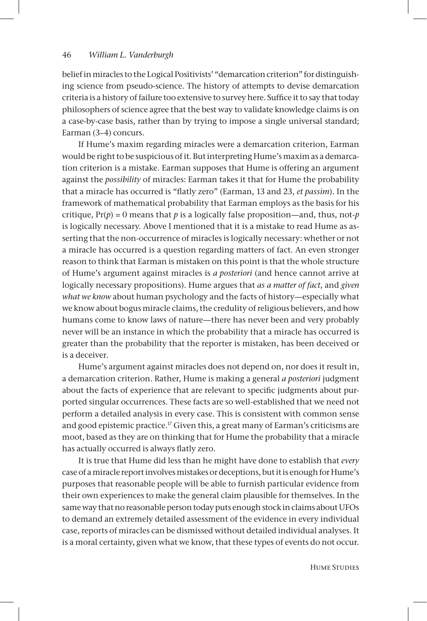belief in miracles to the Logical Positivists' "demarcation criterion" for distinguishing science from pseudo-science. The history of attempts to devise demarcation criteria is a history of failure too extensive to survey here. Suffice it to say that today philosophers of science agree that the best way to validate knowledge claims is on a case-by-case basis, rather than by trying to impose a single universal standard; Earman (3–4) concurs.

If Hume's maxim regarding miracles were a demarcation criterion, Earman would be right to be suspicious of it. But interpreting Hume's maxim as a demarcation criterion is a mistake. Earman supposes that Hume is offering an argument against the *possibility* of miracles: Earman takes it that for Hume the probability that a miracle has occurred is "flatly zero" (Earman, 13 and 23, *et passim*). In the framework of mathematical probability that Earman employs as the basis for his critique,  $Pr(p) = 0$  means that *p* is a logically false proposition—and, thus, not-*p* is logically necessary. Above I mentioned that it is a mistake to read Hume as asserting that the non-occurrence of miracles is logically necessary: whether or not a miracle has occurred is a question regarding matters of fact. An even stronger reason to think that Earman is mistaken on this point is that the whole structure of Hume's argument against miracles is *a posteriori* (and hence cannot arrive at logically necessary propositions). Hume argues that *as a matter of fact*, and *given what we know* about human psychology and the facts of history—especially what we know about bogus miracle claims, the credulity of religious believers, and how humans come to know laws of nature—there has never been and very probably never will be an instance in which the probability that a miracle has occurred is greater than the probability that the reporter is mistaken, has been deceived or is a deceiver.

Hume's argument against miracles does not depend on, nor does it result in, a demarcation criterion. Rather, Hume is making a general *a posteriori* judgment about the facts of experience that are relevant to specific judgments about purported singular occurrences. These facts are so well-established that we need not perform a detailed analysis in every case. This is consistent with common sense and good epistemic practice.<sup>17</sup> Given this, a great many of Earman's criticisms are moot, based as they are on thinking that for Hume the probability that a miracle has actually occurred is always flatly zero.

It is true that Hume did less than he might have done to establish that *every* case of a miracle report involves mistakes or deceptions, but it is enough for Hume's purposes that reasonable people will be able to furnish particular evidence from their own experiences to make the general claim plausible for themselves. In the same way that no reasonable person today puts enough stock in claims about UFOs to demand an extremely detailed assessment of the evidence in every individual case, reports of miracles can be dismissed without detailed individual analyses. It is a moral certainty, given what we know, that these types of events do not occur.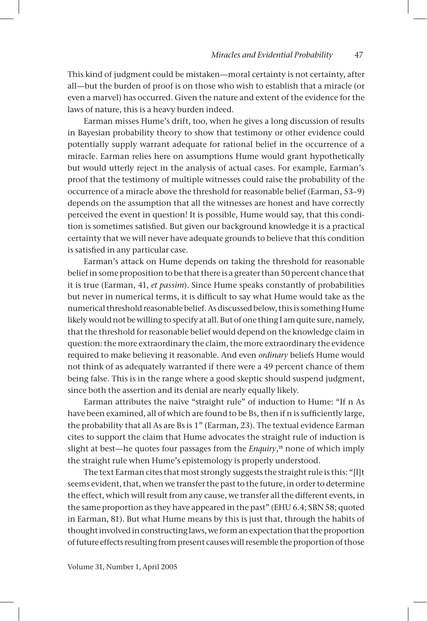This kind of judgment could be mistaken—moral certainty is not certainty, after all—but the burden of proof is on those who wish to establish that a miracle (or even a marvel) has occurred. Given the nature and extent of the evidence for the laws of nature, this is a heavy burden indeed.

Earman misses Hume's drift, too, when he gives a long discussion of results in Bayesian probability theory to show that testimony or other evidence could potentially supply warrant adequate for rational belief in the occurrence of a miracle. Earman relies here on assumptions Hume would grant hypothetically but would utterly reject in the analysis of actual cases. For example, Earman's proof that the testimony of multiple witnesses could raise the probability of the occurrence of a miracle above the threshold for reasonable belief (Earman, 53–9) depends on the assumption that all the witnesses are honest and have correctly perceived the event in question! It is possible, Hume would say, that this condition is sometimes satisfied. But given our background knowledge it is a practical certainty that we will never have adequate grounds to believe that this condition is satisfied in any particular case.

Earman's attack on Hume depends on taking the threshold for reasonable belief in some proposition to be that there is a greater than 50 percent chance that it is true (Earman, 41, *et passim*). Since Hume speaks constantly of probabilities but never in numerical terms, it is difficult to say what Hume would take as the numerical threshold reasonable belief. As discussed below, this is something Hume likely would not be willing to specify at all. But of one thing I am quite sure, namely, that the threshold for reasonable belief would depend on the knowledge claim in question: the more extraordinary the claim, the more extraordinary the evidence required to make believing it reasonable. And even *ordinary* beliefs Hume would not think of as adequately warranted if there were a 49 percent chance of them being false. This is in the range where a good skeptic should suspend judgment, since both the assertion and its denial are nearly equally likely.

Earman attributes the naïve "straight rule" of induction to Hume: "If n As have been examined, all of which are found to be Bs, then if n is sufficiently large, the probability that all As are Bs is 1" (Earman, 23). The textual evidence Earman cites to support the claim that Hume advocates the straight rule of induction is slight at best—he quotes four passages from the *Enquiry*, 18 none of which imply the straight rule when Hume's epistemology is properly understood.

The text Earman cites that most strongly suggests the straight rule is this: "[I]t seems evident, that, when we transfer the past to the future, in order to determine the effect, which will result from any cause, we transfer all the different events, in the same proportion as they have appeared in the past" (EHU 6.4; SBN 58; quoted in Earman, 81). But what Hume means by this is just that, through the habits of thought involved in constructing laws, we form an expectation that the proportion of future effects resulting from present causes will resemble the proportion of those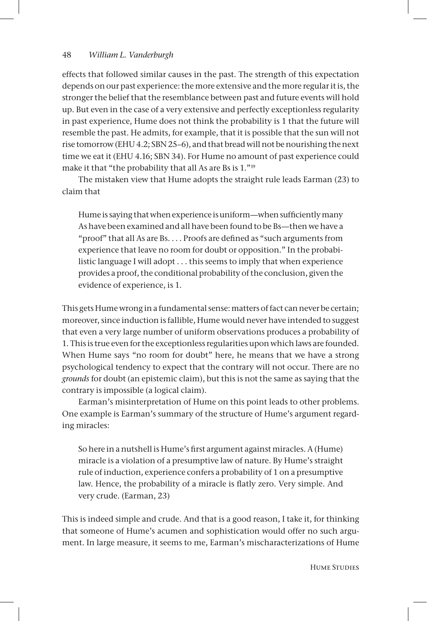effects that followed similar causes in the past. The strength of this expectation depends on our past experience: the more extensive and the more regular it is, the stronger the belief that the resemblance between past and future events will hold up. But even in the case of a very extensive and perfectly exceptionless regularity in past experience, Hume does not think the probability is 1 that the future will resemble the past. He admits, for example, that it is possible that the sun will not rise tomorrow (EHU 4.2; SBN 25–6), and that bread will not be nourishing the next time we eat it (EHU 4.16; SBN 34). For Hume no amount of past experience could make it that "the probability that all As are Bs is 1."19

The mistaken view that Hume adopts the straight rule leads Earman (23) to claim that

Hume is saying that when experience is uniform—when sufficiently many As have been examined and all have been found to be Bs—then we have a "proof" that all As are Bs. . . . Proofs are defined as "such arguments from experience that leave no room for doubt or opposition." In the probabilistic language I will adopt . . . this seems to imply that when experience provides a proof, the conditional probability of the conclusion, given the evidence of experience, is 1.

This gets Hume wrong in a fundamental sense: matters of fact can never be certain; moreover, since induction is fallible, Hume would never have intended to suggest that even a very large number of uniform observations produces a probability of 1. This is true even for the exceptionless regularities upon which laws are founded. When Hume says "no room for doubt" here, he means that we have a strong psychological tendency to expect that the contrary will not occur. There are no *grounds* for doubt (an epistemic claim), but this is not the same as saying that the contrary is impossible (a logical claim).

Earman's misinterpretation of Hume on this point leads to other problems. One example is Earman's summary of the structure of Hume's argument regarding miracles:

So here in a nutshell is Hume's first argument against miracles. A (Hume) miracle is a violation of a presumptive law of nature. By Hume's straight rule of induction, experience confers a probability of 1 on a presumptive law. Hence, the probability of a miracle is flatly zero. Very simple. And very crude. (Earman, 23)

This is indeed simple and crude. And that is a good reason, I take it, for thinking that someone of Hume's acumen and sophistication would offer no such argument. In large measure, it seems to me, Earman's mischaracterizations of Hume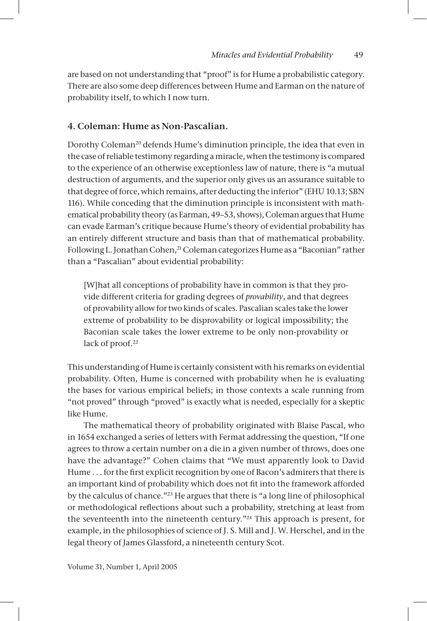are based on not understanding that "proof" is for Hume a probabilistic category. There are also some deep differences between Hume and Earman on the nature of probability itself, to which I now turn.

## 4. Coleman: Hume as Non-Pascalian.

Dorothy Coleman<sup>20</sup> defends Hume's diminution principle, the idea that even in the case of reliable testimony regarding a miracle, when the testimony is compared to the experience of an otherwise exceptionless law of nature, there is "a mutual destruction of arguments, and the superior only gives us an assurance suitable to that degree of force, which remains, after deducting the inferior" (EHU 10.13; SBN 116). While conceding that the diminution principle is inconsistent with mathematical probability theory (as Earman, 49–53, shows), Coleman argues that Hume can evade Earman's critique because Hume's theory of evidential probability has an entirely different structure and basis than that of mathematical probability. Following L. Jonathan Cohen,<sup>21</sup> Coleman categorizes Hume as a "Baconian" rather than a "Pascalian" about evidential probability:

[W]hat all conceptions of probability have in common is that they provide different criteria for grading degrees of *provability*, and that degrees of provability allow for two kinds of scales. Pascalian scales take the lower extreme of probability to be disprovability or logical impossibility; the Baconian scale takes the lower extreme to be only non-provability or lack of proof.<sup>22</sup>

This understanding of Hume is certainly consistent with his remarks on evidential probability. Often, Hume is concerned with probability when he is evaluating the bases for various empirical beliefs; in those contexts a scale running from "not proved" through "proved" is exactly what is needed, especially for a skeptic like Hume.

The mathematical theory of probability originated with Blaise Pascal, who in 1654 exchanged a series of letters with Fermat addressing the question, "If one agrees to throw a certain number on a die in a given number of throws, does one have the advantage?" Cohen claims that "We must apparently look to David Hume . . . for the first explicit recognition by one of Bacon's admirers that there is an important kind of probability which does not fit into the framework afforded by the calculus of chance."23 He argues that there is "a long line of philosophical or methodological reflections about such a probability, stretching at least from the seventeenth into the nineteenth century."24 This approach is present, for example, in the philosophies of science of J. S. Mill and J. W. Herschel, and in the legal theory of James Glassford, a nineteenth century Scot.

Volume 31, Number 1, April 2005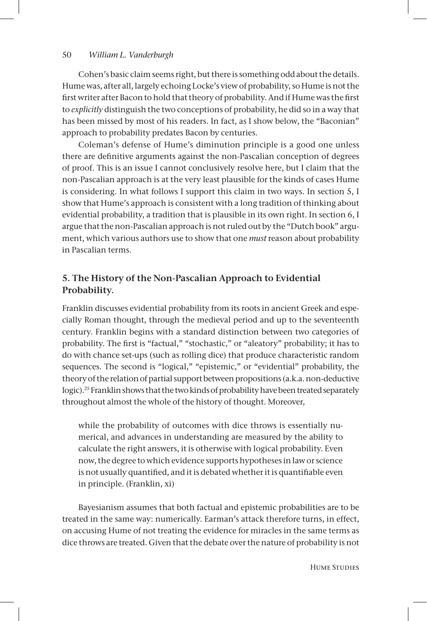Cohen's basic claim seems right, but there is something odd about the details. Hume was, after all, largely echoing Locke's view of probability, so Hume is not the first writer after Bacon to hold that theory of probability. And if Hume was the first to *explicitly* distinguish the two conceptions of probability, he did so in a way that has been missed by most of his readers. In fact, as I show below, the "Baconian" approach to probability predates Bacon by centuries.

Coleman's defense of Hume's diminution principle is a good one unless there are definitive arguments against the non-Pascalian conception of degrees of proof. This is an issue I cannot conclusively resolve here, but I claim that the non-Pascalian approach is at the very least plausible for the kinds of cases Hume is considering. In what follows I support this claim in two ways. In section 5, I show that Hume's approach is consistent with a long tradition of thinking about evidential probability, a tradition that is plausible in its own right. In section 6, I argue that the non-Pascalian approach is not ruled out by the "Dutch book" argument, which various authors use to show that one *must* reason about probability in Pascalian terms.

# 5. The History of the Non-Pascalian Approach to Evidential Probability.

Franklin discusses evidential probability from its roots in ancient Greek and especially Roman thought, through the medieval period and up to the seventeenth century. Franklin begins with a standard distinction between two categories of probability. The first is "factual," "stochastic," or "aleatory" probability; it has to do with chance set-ups (such as rolling dice) that produce characteristic random sequences. The second is "logical," "epistemic," or "evidential" probability, the theory of the relation of partial support between propositions (a.k.a. non-deductive logic).<sup>25</sup> Franklin shows that the two kinds of probability have been treated separately throughout almost the whole of the history of thought. Moreover,

while the probability of outcomes with dice throws is essentially numerical, and advances in understanding are measured by the ability to calculate the right answers, it is otherwise with logical probability. Even now, the degree to which evidence supports hypotheses in law or science is not usually quantified, and it is debated whether it is quantifiable even in principle. (Franklin, xi)

Bayesianism assumes that both factual and epistemic probabilities are to be treated in the same way: numerically. Earman's attack therefore turns, in effect, on accusing Hume of not treating the evidence for miracles in the same terms as dice throws are treated. Given that the debate over the nature of probability is not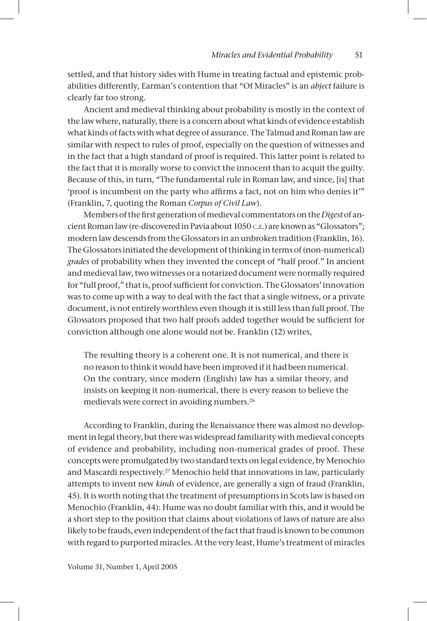settled, and that history sides with Hume in treating factual and epistemic probabilities differently, Earman's contention that "Of Miracles" is an *abject* failure is clearly far too strong.

Ancient and medieval thinking about probability is mostly in the context of the law where, naturally, there is a concern about what kinds of evidence establish what kinds of facts with what degree of assurance. The Talmud and Roman law are similar with respect to rules of proof, especially on the question of witnesses and in the fact that a high standard of proof is required. This latter point is related to the fact that it is morally worse to convict the innocent than to acquit the guilty. Because of this, in turn, "The fundamental rule in Roman law, and since, [is] that 'proof is incumbent on the party who affirms a fact, not on him who denies it'" (Franklin, 7, quoting the Roman *Corpus of Civil Law*).

Members of the first generation of medieval commentators on the *Digest* of ancient Roman law (re-discovered in Pavia about 1050 C.E.) are known as "Glossators"; modern law descends from the Glossators in an unbroken tradition (Franklin, 16). The Glossators initiated the development of thinking in terms of (non-numerical) *grades* of probability when they invented the concept of "half proof." In ancient and medieval law, two witnesses or a notarized document were normally required for "full proof," that is, proof sufficient for conviction. The Glossators' innovation was to come up with a way to deal with the fact that a single witness, or a private document, is not entirely worthless even though it is still less than full proof. The Glossators proposed that two half proofs added together would be sufficient for conviction although one alone would not be. Franklin (12) writes,

The resulting theory is a coherent one. It is not numerical, and there is no reason to think it would have been improved if it had been numerical. On the contrary, since modern (English) law has a similar theory, and insists on keeping it non-numerical, there is every reason to believe the medievals were correct in avoiding numbers.26

According to Franklin, during the Renaissance there was almost no development in legal theory, but there was widespread familiarity with medieval concepts of evidence and probability, including non-numerical grades of proof. These concepts were promulgated by two standard texts on legal evidence, by Menochio and Mascardi respectively.<sup>27</sup> Menochio held that innovations in law, particularly attempts to invent new *kinds* of evidence, are generally a sign of fraud (Franklin, 45). It is worth noting that the treatment of presumptions in Scots law is based on Menochio (Franklin, 44): Hume was no doubt familiar with this, and it would be a short step to the position that claims about violations of laws of nature are also likely to be frauds, even independent of the fact that fraud is known to be common with regard to purported miracles. At the very least, Hume's treatment of miracles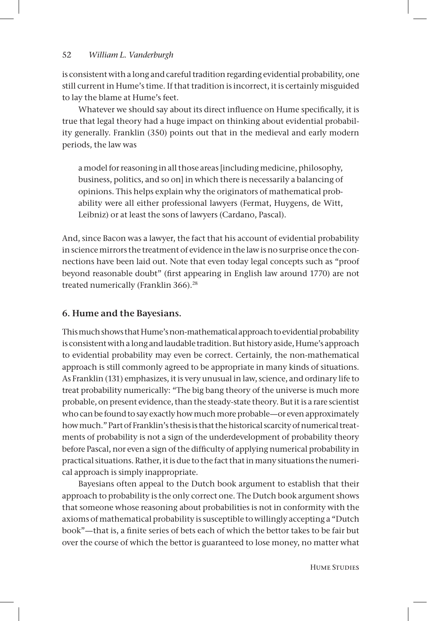is consistent with a long and careful tradition regarding evidential probability, one still current in Hume's time. If that tradition is incorrect, it is certainly misguided to lay the blame at Hume's feet.

Whatever we should say about its direct influence on Hume specifically, it is true that legal theory had a huge impact on thinking about evidential probability generally. Franklin (350) points out that in the medieval and early modern periods, the law was

a model for reasoning in all those areas [including medicine, philosophy, business, politics, and so on] in which there is necessarily a balancing of opinions. This helps explain why the originators of mathematical probability were all either professional lawyers (Fermat, Huygens, de Witt, Leibniz) or at least the sons of lawyers (Cardano, Pascal).

And, since Bacon was a lawyer, the fact that his account of evidential probability in science mirrors the treatment of evidence in the law is no surprise once the connections have been laid out. Note that even today legal concepts such as "proof beyond reasonable doubt" (first appearing in English law around 1770) are not treated numerically (Franklin 366).<sup>28</sup>

#### 6. Hume and the Bayesians.

This much shows that Hume's non-mathematical approach to evidential probability is consistent with a long and laudable tradition. But history aside, Hume's approach to evidential probability may even be correct. Certainly, the non-mathematical approach is still commonly agreed to be appropriate in many kinds of situations. As Franklin (131) emphasizes, it is very unusual in law, science, and ordinary life to treat probability numerically: "The big bang theory of the universe is much more probable, on present evidence, than the steady-state theory. But it is a rare scientist who can be found to say exactly how much more probable—or even approximately how much." Part of Franklin's thesis is that the historical scarcity of numerical treatments of probability is not a sign of the underdevelopment of probability theory before Pascal, nor even a sign of the difficulty of applying numerical probability in practical situations. Rather, it is due to the fact that in many situations the numerical approach is simply inappropriate.

Bayesians often appeal to the Dutch book argument to establish that their approach to probability is the only correct one. The Dutch book argument shows that someone whose reasoning about probabilities is not in conformity with the axioms of mathematical probability is susceptible to willingly accepting a "Dutch book"—that is, a finite series of bets each of which the bettor takes to be fair but over the course of which the bettor is guaranteed to lose money, no matter what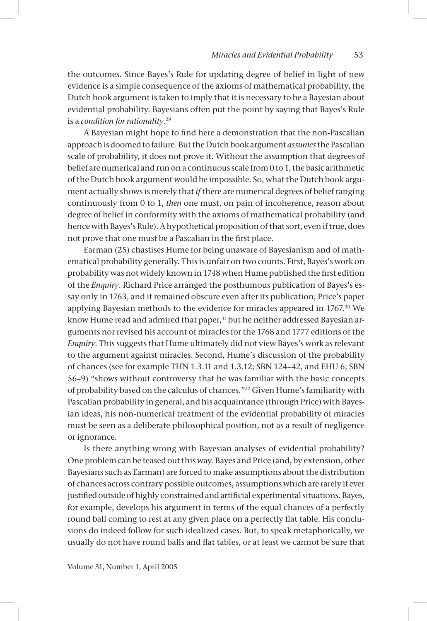the outcomes. Since Bayes's Rule for updating degree of belief in light of new evidence is a simple consequence of the axioms of mathematical probability, the Dutch book argument is taken to imply that it is necessary to be a Bayesian about evidential probability. Bayesians often put the point by saying that Bayes's Rule is a *condition for rationality*. 29

A Bayesian might hope to find here a demonstration that the non-Pascalian approach is doomed to failure. But the Dutch book argument *assumes* the Pascalian scale of probability, it does not prove it. Without the assumption that degrees of belief are numerical and run on a continuous scale from 0 to 1, the basic arithmetic of the Dutch book argument would be impossible. So, what the Dutch book argument actually shows is merely that *if* there are numerical degrees of belief ranging continuously from 0 to 1, *then* one must, on pain of incoherence, reason about degree of belief in conformity with the axioms of mathematical probability (and hence with Bayes's Rule). A hypothetical proposition of that sort, even if true, does not prove that one must be a Pascalian in the first place.

Earman (25) chastises Hume for being unaware of Bayesianism and of mathematical probability generally. This is unfair on two counts. First, Bayes's work on probability was not widely known in 1748 when Hume published the first edition of the *Enquiry*. Richard Price arranged the posthumous publication of Bayes's essay only in 1763, and it remained obscure even after its publication; Price's paper applying Bayesian methods to the evidence for miracles appeared in 1767.<sup>30</sup> We know Hume read and admired that paper, $31$  but he neither addressed Bayesian arguments nor revised his account of miracles for the 1768 and 1777 editions of the *Enquiry*. This suggests that Hume ultimately did not view Bayes's work as relevant to the argument against miracles. Second, Hume's discussion of the probability of chances (see for example THN 1.3.11 and 1.3.12; SBN 124–42, and EHU 6; SBN 56–9) "shows without controversy that he was familiar with the basic concepts of probability based on the calculus of chances."32 Given Hume's familiarity with Pascalian probability in general, and his acquaintance (through Price) with Bayesian ideas, his non-numerical treatment of the evidential probability of miracles must be seen as a deliberate philosophical position, not as a result of negligence or ignorance.

Is there anything wrong with Bayesian analyses of evidential probability? One problem can be teased out this way. Bayes and Price (and, by extension, other Bayesians such as Earman) are forced to make assumptions about the distribution of chances across contrary possible outcomes, assumptions which are rarely if ever justified outside of highly constrained and artificial experimental situations. Bayes, for example, develops his argument in terms of the equal chances of a perfectly round ball coming to rest at any given place on a perfectly flat table. His conclusions do indeed follow for such idealized cases. But, to speak metaphorically, we usually do not have round balls and flat tables, or at least we cannot be sure that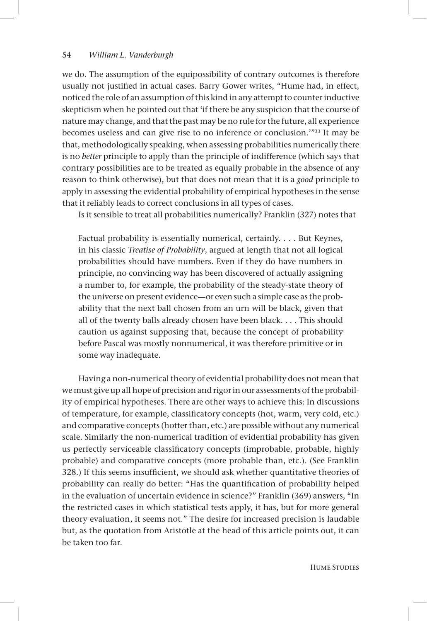we do. The assumption of the equipossibility of contrary outcomes is therefore usually not justified in actual cases. Barry Gower writes, "Hume had, in effect, noticed the role of an assumption of this kind in any attempt to counter inductive skepticism when he pointed out that 'if there be any suspicion that the course of nature may change, and that the past may be no rule for the future, all experience becomes useless and can give rise to no inference or conclusion.'"33 It may be that, methodologically speaking, when assessing probabilities numerically there is no *better* principle to apply than the principle of indifference (which says that contrary possibilities are to be treated as equally probable in the absence of any reason to think otherwise), but that does not mean that it is a *good* principle to apply in assessing the evidential probability of empirical hypotheses in the sense that it reliably leads to correct conclusions in all types of cases.

Is it sensible to treat all probabilities numerically? Franklin (327) notes that

Factual probability is essentially numerical, certainly. . . . But Keynes, in his classic *Treatise of Probability*, argued at length that not all logical probabilities should have numbers. Even if they do have numbers in principle, no convincing way has been discovered of actually assigning a number to, for example, the probability of the steady-state theory of the universe on present evidence—or even such a simple case as the probability that the next ball chosen from an urn will be black, given that all of the twenty balls already chosen have been black. . . . This should caution us against supposing that, because the concept of probability before Pascal was mostly nonnumerical, it was therefore primitive or in some way inadequate.

Having a non-numerical theory of evidential probability does not mean that we must give up all hope of precision and rigor in our assessments of the probability of empirical hypotheses. There are other ways to achieve this: In discussions of temperature, for example, classificatory concepts (hot, warm, very cold, etc.) and comparative concepts (hotter than, etc.) are possible without any numerical scale. Similarly the non-numerical tradition of evidential probability has given us perfectly serviceable classificatory concepts (improbable, probable, highly probable) and comparative concepts (more probable than, etc.). (See Franklin 328.) If this seems insufficient, we should ask whether quantitative theories of probability can really do better: "Has the quantification of probability helped in the evaluation of uncertain evidence in science?" Franklin (369) answers, "In the restricted cases in which statistical tests apply, it has, but for more general theory evaluation, it seems not." The desire for increased precision is laudable but, as the quotation from Aristotle at the head of this article points out, it can be taken too far.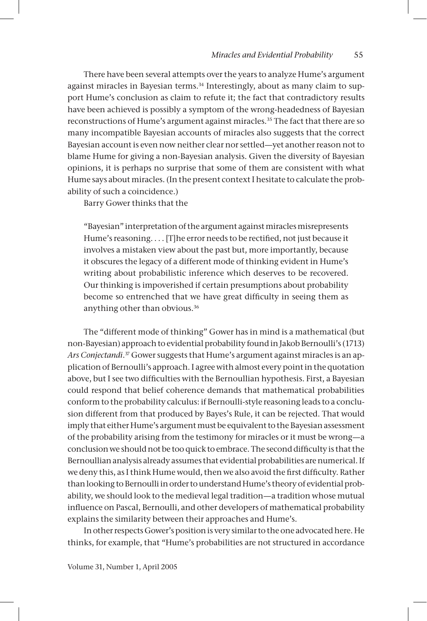#### *Miracles and Evidential Probability* 55

There have been several attempts over the years to analyze Hume's argument against miracles in Bayesian terms.<sup>34</sup> Interestingly, about as many claim to support Hume's conclusion as claim to refute it; the fact that contradictory results have been achieved is possibly a symptom of the wrong-headedness of Bayesian reconstructions of Hume's argument against miracles.35 The fact that there are so many incompatible Bayesian accounts of miracles also suggests that the correct Bayesian account is even now neither clear nor settled—yet another reason not to blame Hume for giving a non-Bayesian analysis. Given the diversity of Bayesian opinions, it is perhaps no surprise that some of them are consistent with what Hume says about miracles. (In the present context I hesitate to calculate the probability of such a coincidence.)

Barry Gower thinks that the

"Bayesian" interpretation of the argument against miracles misrepresents Hume's reasoning. . . . [T]he error needs to be rectified, not just because it involves a mistaken view about the past but, more importantly, because it obscures the legacy of a different mode of thinking evident in Hume's writing about probabilistic inference which deserves to be recovered. Our thinking is impoverished if certain presumptions about probability become so entrenched that we have great difficulty in seeing them as anything other than obvious.36

The "different mode of thinking" Gower has in mind is a mathematical (but non-Bayesian) approach to evidential probability found in Jakob Bernoulli's (1713) *Ars Conjectandi*. 37 Gower suggests that Hume's argument against miracles is an application of Bernoulli's approach. I agree with almost every point in the quotation above, but I see two difficulties with the Bernoullian hypothesis. First, a Bayesian could respond that belief coherence demands that mathematical probabilities conform to the probability calculus: if Bernoulli-style reasoning leads to a conclusion different from that produced by Bayes's Rule, it can be rejected. That would imply that either Hume's argument must be equivalent to the Bayesian assessment of the probability arising from the testimony for miracles or it must be wrong—a conclusion we should not be too quick to embrace. The second difficulty is that the Bernoullian analysis already assumes that evidential probabilities are numerical. If we deny this, as I think Hume would, then we also avoid the first difficulty. Rather than looking to Bernoulli in order to understand Hume's theory of evidential probability, we should look to the medieval legal tradition—a tradition whose mutual influence on Pascal, Bernoulli, and other developers of mathematical probability explains the similarity between their approaches and Hume's.

In other respects Gower's position is very similar to the one advocated here. He thinks, for example, that "Hume's probabilities are not structured in accordance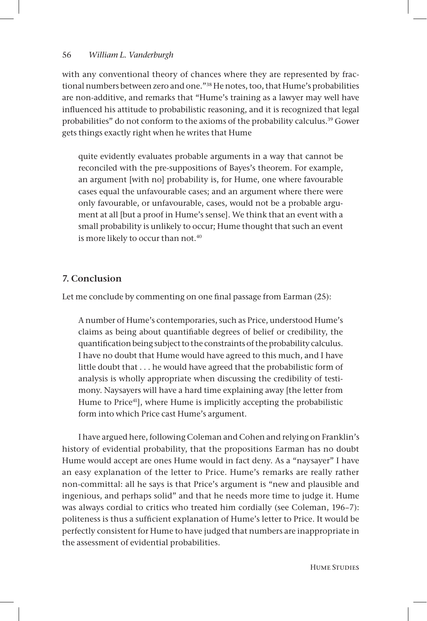with any conventional theory of chances where they are represented by fractional numbers between zero and one."38 He notes, too, that Hume's probabilities are non-additive, and remarks that "Hume's training as a lawyer may well have influenced his attitude to probabilistic reasoning, and it is recognized that legal probabilities" do not conform to the axioms of the probability calculus.39 Gower gets things exactly right when he writes that Hume

quite evidently evaluates probable arguments in a way that cannot be reconciled with the pre-suppositions of Bayes's theorem. For example, an argument [with no] probability is, for Hume, one where favourable cases equal the unfavourable cases; and an argument where there were only favourable, or unfavourable, cases, would not be a probable argument at all [but a proof in Hume's sense]. We think that an event with a small probability is unlikely to occur; Hume thought that such an event is more likely to occur than not.<sup>40</sup>

# 7. Conclusion

Let me conclude by commenting on one final passage from Earman (25):

A number of Hume's contemporaries, such as Price, understood Hume's claims as being about quantifiable degrees of belief or credibility, the quantification being subject to the constraints of the probability calculus. I have no doubt that Hume would have agreed to this much, and I have little doubt that . . . he would have agreed that the probabilistic form of analysis is wholly appropriate when discussing the credibility of testimony. Naysayers will have a hard time explaining away [the letter from Hume to Price<sup>41</sup>], where Hume is implicitly accepting the probabilistic form into which Price cast Hume's argument.

I have argued here, following Coleman and Cohen and relying on Franklin's history of evidential probability, that the propositions Earman has no doubt Hume would accept are ones Hume would in fact deny. As a "naysayer" I have an easy explanation of the letter to Price. Hume's remarks are really rather non-committal: all he says is that Price's argument is "new and plausible and ingenious, and perhaps solid" and that he needs more time to judge it. Hume was always cordial to critics who treated him cordially (see Coleman, 196–7): politeness is thus a sufficient explanation of Hume's letter to Price. It would be perfectly consistent for Hume to have judged that numbers are inappropriate in the assessment of evidential probabilities.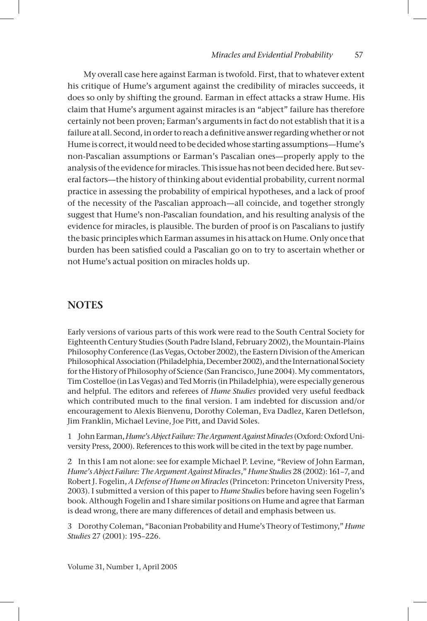#### *Miracles and Evidential Probability* 57

My overall case here against Earman is twofold. First, that to whatever extent his critique of Hume's argument against the credibility of miracles succeeds, it does so only by shifting the ground. Earman in effect attacks a straw Hume. His claim that Hume's argument against miracles is an "abject" failure has therefore certainly not been proven; Earman's arguments in fact do not establish that it is a failure at all. Second, in order to reach a definitive answer regarding whether or not Hume is correct, it would need to be decided whose starting assumptions—Hume's non-Pascalian assumptions or Earman's Pascalian ones—properly apply to the analysis of the evidence for miracles. This issue has not been decided here. But several factors—the history of thinking about evidential probability, current normal practice in assessing the probability of empirical hypotheses, and a lack of proof of the necessity of the Pascalian approach—all coincide, and together strongly suggest that Hume's non-Pascalian foundation, and his resulting analysis of the evidence for miracles, is plausible. The burden of proof is on Pascalians to justify the basic principles which Earman assumes in his attack on Hume. Only once that burden has been satisfied could a Pascalian go on to try to ascertain whether or not Hume's actual position on miracles holds up.

# **NOTES**

Early versions of various parts of this work were read to the South Central Society for Eighteenth Century Studies (South Padre Island, February 2002), the Mountain-Plains Philosophy Conference (Las Vegas, October 2002), the Eastern Division of the American Philosophical Association (Philadelphia, December 2002), and the International Society for the History of Philosophy of Science (San Francisco, June 2004). My commentators, Tim Costelloe (in Las Vegas) and Ted Morris (in Philadelphia), were especially generous and helpful. The editors and referees of *Hume Studies* provided very useful feedback which contributed much to the final version. I am indebted for discussion and/or encouragement to Alexis Bienvenu, Dorothy Coleman, Eva Dadlez, Karen Detlefson, Jim Franklin, Michael Levine, Joe Pitt, and David Soles.

1 John Earman, *Hume's Abject Failure: The Argument Against Miracles* (Oxford: Oxford University Press, 2000). References to this work will be cited in the text by page number.

2 In this I am not alone: see for example Michael P. Levine, "Review of John Earman, *Hume's Abject Failure: The Argument Against Miracles*," *Hume Studies* 28 (2002): 161–7, and Robert J. Fogelin, *A Defense of Hume on Miracles* (Princeton: Princeton University Press, 2003). I submitted a version of this paper to *Hume Studies* before having seen Fogelin's book. Although Fogelin and I share similar positions on Hume and agree that Earman is dead wrong, there are many differences of detail and emphasis between us.

3 Dorothy Coleman, "Baconian Probability and Hume's Theory of Testimony," *Hume Studies* 27 (2001): 195–226.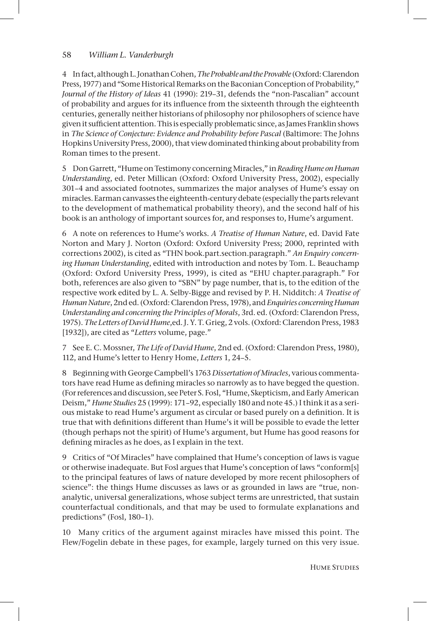4 In fact, although L. Jonathan Cohen, *The Probable and the Provable* (Oxford: Clarendon Press, 1977) and "Some Historical Remarks on the Baconian Conception of Probability," *Journal of the History of Ideas* 41 (1990): 219–31, defends the "non-Pascalian" account of probability and argues for its influence from the sixteenth through the eighteenth centuries, generally neither historians of philosophy nor philosophers of science have given it sufficient attention. This is especially problematic since, as James Franklin shows in *The Science of Conjecture: Evidence and Probability before Pascal* (Baltimore: The Johns Hopkins University Press, 2000), that view dominated thinking about probability from Roman times to the present.

5 Don Garrett, "Hume on Testimony concerning Miracles," in *Reading Hume on Human Understanding*, ed. Peter Millican (Oxford: Oxford University Press, 2002), especially 301–4 and associated footnotes, summarizes the major analyses of Hume's essay on miracles. Earman canvasses the eighteenth-century debate (especially the parts relevant to the development of mathematical probability theory), and the second half of his book is an anthology of important sources for, and responses to, Hume's argument.

6 A note on references to Hume's works. *A Treatise of Human Nature*, ed. David Fate Norton and Mary J. Norton (Oxford: Oxford University Press; 2000, reprinted with corrections 2002), is cited as "THN book.part.section.paragraph." *An Enquiry concerning Human Understanding*, edited with introduction and notes by Tom. L. Beauchamp (Oxford: Oxford University Press, 1999), is cited as "EHU chapter.paragraph." For both, references are also given to "SBN" by page number, that is, to the edition of the respective work edited by L. A. Selby-Bigge and revised by P. H. Nidditch: *A Treatise of Human Nature*, 2nd ed. (Oxford: Clarendon Press, 1978), and *Enquiries concerning Human Understanding and concerning the Principles of Morals*, 3rd. ed. (Oxford: Clarendon Press, 1975). *The Letters of David Hume*,ed. J. Y. T. Grieg, 2 vols. (Oxford: Clarendon Press, 1983 [1932]), are cited as "*Letters* volume, page."

7 See E. C. Mossner, *The Life of David Hume*, 2nd ed. (Oxford: Clarendon Press, 1980), 112, and Hume's letter to Henry Home, *Letters* 1, 24–5.

8 Beginning with George Campbell's 1763 *Dissertation of Miracles*, various commentators have read Hume as defining miracles so narrowly as to have begged the question. (For references and discussion, see Peter S. Fosl, "Hume, Skepticism, and Early American Deism," *Hume Studies* 25 (1999): 171–92, especially 180 and note 45.) I think it as a serious mistake to read Hume's argument as circular or based purely on a definition. It is true that with definitions different than Hume's it will be possible to evade the letter (though perhaps not the spirit) of Hume's argument, but Hume has good reasons for defining miracles as he does, as I explain in the text.

9 Critics of "Of Miracles" have complained that Hume's conception of laws is vague or otherwise inadequate. But Fosl argues that Hume's conception of laws "conform[s] to the principal features of laws of nature developed by more recent philosophers of science": the things Hume discusses as laws or as grounded in laws are "true, nonanalytic, universal generalizations, whose subject terms are unrestricted, that sustain counterfactual conditionals, and that may be used to formulate explanations and predictions" (Fosl, 180–1).

10 Many critics of the argument against miracles have missed this point. The Flew/Fogelin debate in these pages, for example, largely turned on this very issue.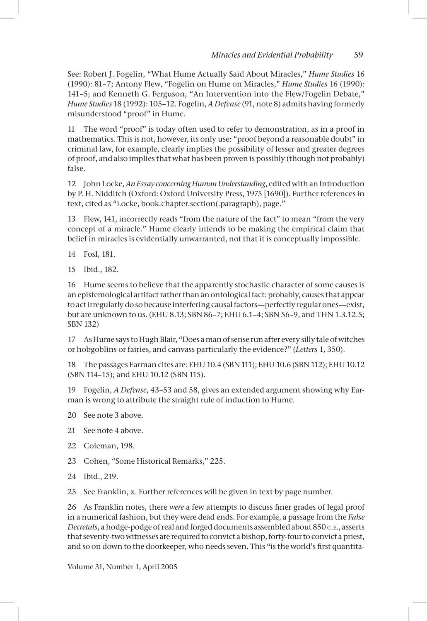See: Robert J. Fogelin, "What Hume Actually Said About Miracles," *Hume Studies* 16 (1990): 81–7; Antony Flew, "Fogelin on Hume on Miracles," *Hume Studies* 16 (1990): 141–5; and Kenneth G. Ferguson, "An Intervention into the Flew/Fogelin Debate," *Hume Studies* 18 (1992): 105–12. Fogelin, *A Defense* (91, note 8) admits having formerly misunderstood "proof" in Hume.

11 The word "proof" is today often used to refer to demonstration, as in a proof in mathematics. This is not, however, its only use: "proof beyond a reasonable doubt" in criminal law, for example, clearly implies the possibility of lesser and greater degrees of proof, and also implies that what has been proven is possibly (though not probably) false.

12 John Locke, *An Essay concerning Human Understanding*, edited with an Introduction by P. H. Nidditch (Oxford: Oxford University Press, 1975 [1690]). Further references in text, cited as "Locke, book.chapter.section(.paragraph), page."

13 Flew, 141, incorrectly reads "from the nature of the fact" to mean "from the very concept of a miracle." Hume clearly intends to be making the empirical claim that belief in miracles is evidentially unwarranted, not that it is conceptually impossible.

- 14 Fosl, 181.
- 15 Ibid., 182.

16 Hume seems to believe that the apparently stochastic character of some causes is an epistemological artifact rather than an ontological fact: probably, causes that appear to act irregularly do so because interfering causal factors—perfectly regular ones—exist, but are unknown to us. (EHU 8.13; SBN 86–7; EHU 6.1–4; SBN 56–9, and THN 1.3.12.5; SBN 132)

17 As Hume says to Hugh Blair, "Does a man of sense run after every silly tale of witches or hobgoblins or fairies, and canvass particularly the evidence?" (*Letters* 1, 350).

18 The passages Earman cites are: EHU 10.4 (SBN 111); EHU 10.6 (SBN 112); EHU 10.12 (SBN 114–15); and EHU 10.12 (SBN 115).

19 Fogelin, *A Defense*, 43–53 and 58, gives an extended argument showing why Earman is wrong to attribute the straight rule of induction to Hume.

- 20 See note 3 above.
- 21 See note 4 above.
- 22 Coleman, 198.
- 23 Cohen, "Some Historical Remarks," 225.
- 24 Ibid., 219.

25 See Franklin, x. Further references will be given in text by page number.

26 As Franklin notes, there *were* a few attempts to discuss finer grades of legal proof in a numerical fashion, but they were dead ends. For example, a passage from the *False Decretals*, a hodge-podge of real and forged documents assembled about 850 C.E., asserts that seventy-two witnesses are required to convict a bishop, forty-four to convict a priest, and so on down to the doorkeeper, who needs seven. This "is the world's first quantita-

Volume 31, Number 1, April 2005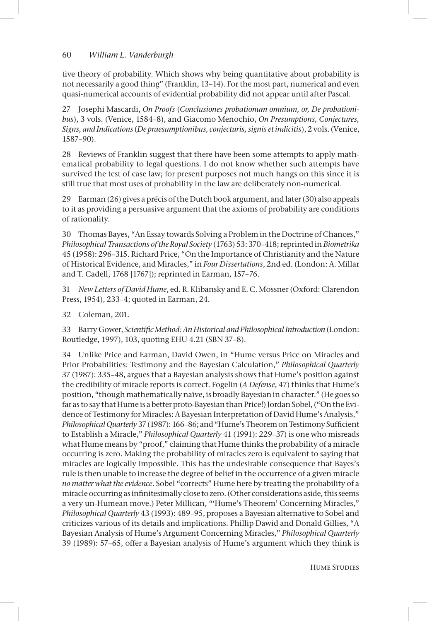tive theory of probability. Which shows why being quantitative about probability is not necessarily a good thing" (Franklin, 13–14). For the most part, numerical and even quasi-numerical accounts of evidential probability did not appear until after Pascal.

27 Josephi Mascardi, *On Proofs* (*Conclusiones probationum omnium, or, De probationibus*), 3 vols. (Venice, 1584–8), and Giacomo Menochio, *On Presumptions, Conjectures, Signs, and Indications* (*De praesumptionibus, conjecturis, signis et indicitis*), 2 vols. (Venice, 1587–90).

28 Reviews of Franklin suggest that there have been some attempts to apply mathematical probability to legal questions. I do not know whether such attempts have survived the test of case law; for present purposes not much hangs on this since it is still true that most uses of probability in the law are deliberately non-numerical.

29 Earman (26) gives a précis of the Dutch book argument, and later (30) also appeals to it as providing a persuasive argument that the axioms of probability are conditions of rationality.

30 Thomas Bayes, "An Essay towards Solving a Problem in the Doctrine of Chances," *Philosophical Transactions of the Royal Society* (1763) 53: 370–418; reprinted in *Biometrika* 45 (1958): 296–315. Richard Price, "On the Importance of Christianity and the Nature of Historical Evidence, and Miracles," in *Four Dissertations*, 2nd ed. (London: A. Millar and T. Cadell, 1768 [1767]); reprinted in Earman, 157–76.

31 *New Letters of David Hume*, ed. R. Klibansky and E. C. Mossner (Oxford: Clarendon Press, 1954), 233–4; quoted in Earman, 24.

32 Coleman, 201.

33 Barry Gower, *Scientific Method: An Historical and Philosophical Introduction* (London: Routledge, 1997), 103, quoting EHU 4.21 (SBN 37–8).

34 Unlike Price and Earman, David Owen, in "Hume versus Price on Miracles and Prior Probabilities: Testimony and the Bayesian Calculation," *Philosophical Quarterly* 37 (1987): 335–48, argues that a Bayesian analysis shows that Hume's position against the credibility of miracle reports is correct. Fogelin (*A Defense*, 47) thinks that Hume's position, "though mathematically naïve, is broadly Bayesian in character." (He goes so far as to say that Hume is a better proto-Bayesian than Price!) Jordan Sobel, ("On the Evidence of Testimony for Miracles: A Bayesian Interpretation of David Hume's Analysis," *Philosophical Quarterly* 37 (1987): 166–86; and "Hume's Theorem on Testimony Sufficient to Establish a Miracle," *Philosophical Quarterly* 41 (1991): 229–37) is one who misreads what Hume means by "proof," claiming that Hume thinks the probability of a miracle occurring is zero. Making the probability of miracles zero is equivalent to saying that miracles are logically impossible. This has the undesirable consequence that Bayes's rule is then unable to increase the degree of belief in the occurrence of a given miracle *no matter what the evidence*. Sobel "corrects" Hume here by treating the probability of a miracle occurring as infinitesimally close to zero. (Other considerations aside, this seems a very un-Humean move.) Peter Millican, "'Hume's Theorem' Concerning Miracles," *Philosophical Quarterly* 43 (1993): 489–95, proposes a Bayesian alternative to Sobel and criticizes various of its details and implications. Phillip Dawid and Donald Gillies, "A Bayesian Analysis of Hume's Argument Concerning Miracles," *Philosophical Quarterly*  39 (1989): 57–65, offer a Bayesian analysis of Hume's argument which they think is

Hume Studies